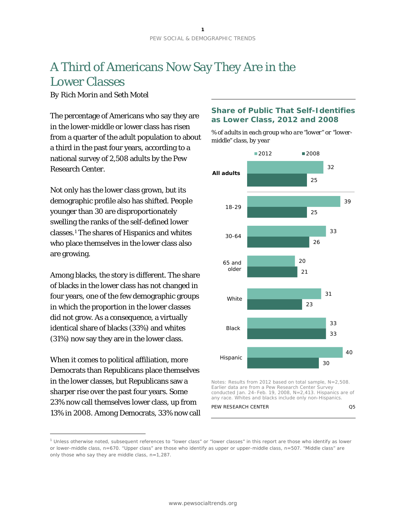# A Third of Americans Now Say They Are in the Lower Classes

*By Rich Morin and Seth Motel* 

The percentage of Americans who say they are in the lower-middle or lower class has risen from a quarter of the adult population to about a third in the past four years, according to a national survey of 2,508 adults by the Pew Research Center.

Not only has the lower class grown, but its demographic profile also has shifted. People younger than 30 are disproportionately swelling the ranks of the self-defined lower classes.[1](#page-0-0) The shares of Hispanics and whites who place themselves in the lower class also are growing.

Among blacks, the story is different. The share of blacks in the lower class has not changed in four years, one of the few demographic groups in which the proportion in the lower classes did not grow. As a consequence, a virtually identical share of blacks (33%) and whites (31%) now say they are in the lower class.

When it comes to political affiliation, more Democrats than Republicans place themselves in the lower classes, but Republicans saw a sharper rise over the past four years. Some 23% now call themselves lower class, up from 13% in 2008. Among Democrats, 33% now call

 $\overline{a}$ 

#### **Share of Public That Self-Identifies as Lower Class, 2012 and 2008**

*% of adults in each group who are "lower" or "lowermiddle" class, by year*



conducted Jan. 24–Feb. 19, 2008, N=2,413. Hispanics are of any race. Whites and blacks include only non-Hispanics.



<span id="page-0-0"></span><sup>1</sup> Unless otherwise noted, subsequent references to "lower class" or "lower classes" in this report are those who identify as lower or lower-middle class, n=670. "Upper class" are those who identify as upper or upper-middle class, n=507. "Middle class" are only those who say they are middle class, n=1,287.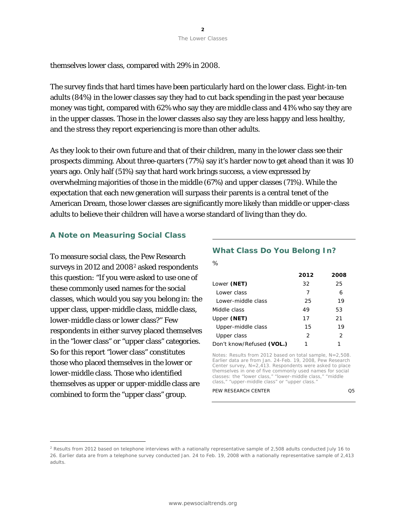themselves lower class, compared with 29% in 2008.

The survey finds that hard times have been particularly hard on the lower class. Eight-in-ten adults (84%) in the lower classes say they had to cut back spending in the past year because money was tight, compared with 62% who say they are middle class and 41% who say they are in the upper classes. Those in the lower classes also say they are less happy and less healthy, and the stress they report experiencing is more than other adults.

As they look to their own future and that of their children, many in the lower class see their prospects dimming. About three-quarters (77%) say it's harder now to get ahead than it was 10 years ago. Only half (51%) say that hard work brings success, a view expressed by overwhelming majorities of those in the middle (67%) and upper classes (71%). While the expectation that each new generation will surpass their parents is a central tenet of the American Dream, those lower classes are significantly more likely than middle or upper-class adults to believe their children will have a worse standard of living than they do.

#### **A Note on Measuring Social Class**

To measure social class, the Pew Research surveys in [2](#page-1-0)012 and 2008<sup>2</sup> asked respondents this question: "If you were asked to use one of these commonly used names for the social classes, which would you say you belong in: the upper class, upper-middle class, middle class, lower-middle class or lower class?" Few respondents in either survey placed themselves in the "lower class" or "upper class" categories. So for this report "lower class" constitutes those who placed themselves in the lower or lower-middle class. Those who identified themselves as upper or upper-middle class are combined to form the "upper class" group.

1

# **What Class Do You Belong In?**

*%*

|                           | 2012 | 2008 |
|---------------------------|------|------|
| Lower (NET)               | 32   | 25   |
| Lower class               | 7    | 6    |
| Lower-middle class        | 25   | 19   |
| Middle class              | 49   | 53   |
| Upper (NET)               | 17   | 21   |
| Upper-middle class        | 15   | 19   |
| Upper class               | 2    | 2    |
| Don't know/Refused (VOL.) |      |      |

Notes: Results from 2012 based on total sample, N=2,508. Earlier data are from Jan. 24-Feb. 19, 2008, Pew Research Center survey, N=2,413. Respondents were asked to place themselves in one of five commonly used names for social classes: the "lower class," "lower-middle class," "middle class," "upper-middle class" or "upper class."

PEW RESEARCH CENTER Q5

<span id="page-1-0"></span> $2$  Results from 2012 based on telephone interviews with a nationally representative sample of 2,508 adults conducted July 16 to 26. Earlier data are from a telephone survey conducted Jan. 24 to Feb. 19, 2008 with a nationally representative sample of 2,413 adults.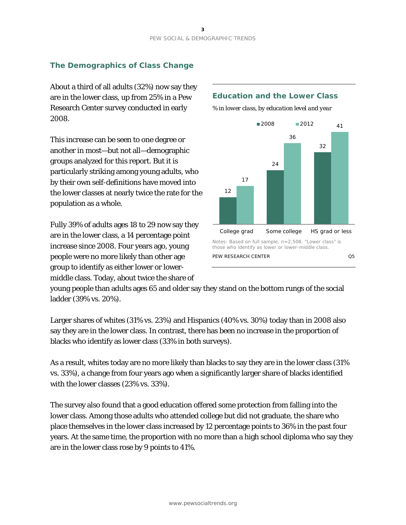## **The Demographics of Class Change**

About a third of all adults (32%) now say they are in the lower class, up from 25% in a Pew Research Center survey conducted in early 2008.

This increase can be seen to one degree or another in most—but not all—demographic groups analyzed for this report. But it is particularly striking among young adults, who by their own self-definitions have moved into the lower classes at nearly twice the rate for the population as a whole.

Fully 39% of adults ages 18 to 29 now say they are in the lower class, a 14 percentage point increase since 2008. Four years ago, young people were no more likely than other age group to identify as either lower or lowermiddle class. Today, about twice the share of

#### **Education and the Lower Class**



*% in lower class, by education level and year*

young people than adults ages 65 and older say they stand on the bottom rungs of the social ladder (39% vs. 20%).

Larger shares of whites (31% vs. 23%) and Hispanics (40% vs. 30%) today than in 2008 also say they are in the lower class. In contrast, there has been no increase in the proportion of blacks who identify as lower class (33% in both surveys).

As a result, whites today are no more likely than blacks to say they are in the lower class (31% vs. 33%), a change from four years ago when a significantly larger share of blacks identified with the lower classes (23% vs. 33%).

The survey also found that a good education offered some protection from falling into the lower class. Among those adults who attended college but did not graduate, the share who place themselves in the lower class increased by 12 percentage points to 36% in the past four years. At the same time, the proportion with no more than a high school diploma who say they are in the lower class rose by 9 points to 41%.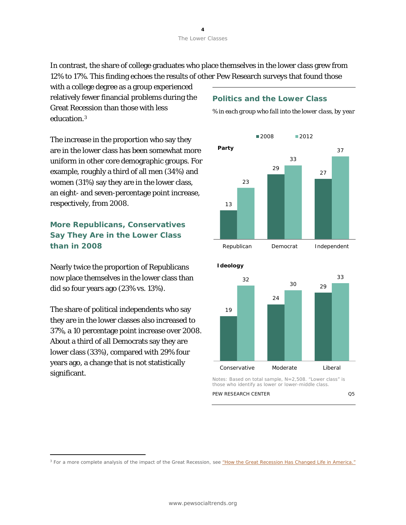In contrast, the share of college graduates who place themselves in the lower class grew from 12% to 17%. This finding echoes the results of other Pew Research surveys that found those

with a college degree as a group experienced relatively fewer financial problems during the Great Recession than those with less education.[3](#page-3-0)

The increase in the proportion who say they are in the lower class has been somewhat more uniform in other core demographic groups. For example, roughly a third of all men (34%) and women (31%) say they are in the lower class, an eight- and seven-percentage point increase, respectively, from 2008.

**More Republicans, Conservatives Say They Are in the Lower Class than in 2008**

Nearly twice the proportion of Republicans now place themselves in the lower class than did so four years ago (23% vs. 13%).

The share of political independents who say they are in the lower classes also increased to 37%, a 10 percentage point increase over 2008. About a third of all Democrats say they are lower class (33%), compared with 29% four years ago, a change that is not statistically significant.

1

#### **Politics and the Lower Class**

*% in each group who fall into the lower class, by year*





#### <span id="page-3-0"></span><sup>3</sup> For a more complete analysis of the impact of the Great Recession, se[e "How the Great Recession Has Changed Life in America."](http://www.pewsocialtrends.org/2010/06/30/how-the-great-recession-has-changed-life-in-america/)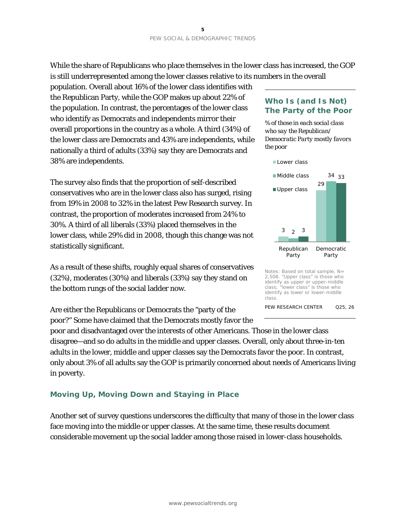While the share of Republicans who place themselves in the lower class has increased, the GOP is still underrepresented among the lower classes relative to its numbers in the overall

population. Overall about 16% of the lower class identifies with the Republican Party, while the GOP makes up about 22% of the population. In contrast, the percentages of the lower class who identify as Democrats and independents mirror their overall proportions in the country as a whole. A third (34%) of the lower class are Democrats and 43% are independents, while nationally a third of adults (33%) say they are Democrats and 38% are independents.

The survey also finds that the proportion of self-described conservatives who are in the lower class also has surged, rising from 19% in 2008 to 32% in the latest Pew Research survey. In contrast, the proportion of moderates increased from 24% to 30%. A third of all liberals (33%) placed themselves in the lower class, while 29% did in 2008, though this change was not statistically significant.

As a result of these shifts, roughly equal shares of conservatives (32%), moderates (30%) and liberals (33%) say they stand on the bottom rungs of the social ladder now.

Are either the Republicans or Democrats the "party of the poor?" Some have claimed that the Democrats mostly favor the

poor and disadvantaged over the interests of other Americans. Those in the lower class disagree—and so do adults in the middle and upper classes. Overall, only about three-in-ten adults in the lower, middle and upper classes say the Democrats favor the poor. In contrast, only about 3% of all adults say the GOP is primarily concerned about needs of Americans living in poverty.

#### **Moving Up, Moving Down and Staying in Place**

Another set of survey questions underscores the difficulty that many of those in the lower class face moving into the middle or upper classes. At the same time, these results document considerable movement up the social ladder among those raised in lower-class households.

#### **Who Is (and Is Not) The Party of the Poor**

*% of those in each social class who say the Republican/ Democratic Party mostly favors the poor*



Notes: Based on total sample, N= 2,508. "Upper class" is those who identify as upper or upper-middle<br>class: "lower class" is those who class; "lower class" is those who identify as lower or lower-middle class.

PEW RESEARCH CENTER Q25, 26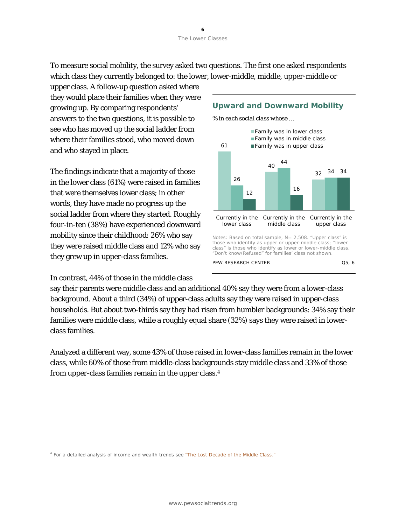To measure social mobility, the survey asked two questions. The first one asked respondents which class they currently belonged to: the lower, lower-middle, middle, upper-middle or

upper class. A follow-up question asked where they would place their families when they were growing up. By comparing respondents' answers to the two questions, it is possible to see who has moved up the social ladder from where their families stood, who moved down and who stayed in place.

The findings indicate that a majority of those in the lower class (61%) were raised in families that were themselves lower class; in other words, they have made no progress up the social ladder from where they started. Roughly four-in-ten (38%) have experienced downward mobility since their childhood: 26% who say they were raised middle class and 12% who say they grew up in upper-class families.

In contrast, 44% of those in the middle class

1



#### **Upward and Downward Mobility**

say their parents were middle class and an additional 40% say they were from a lower-class background. About a third (34%) of upper-class adults say they were raised in upper-class households. But about two-thirds say they had risen from humbler backgrounds: 34% say their families were middle class, while a roughly equal share (32%) says they were raised in lowerclass families.

Analyzed a different way, some 43% of those raised in lower-class families remain in the lower class, while 60% of those from middle-class backgrounds stay middle class and 33% of those from upper-class families remain in the upper class.[4](#page-5-0)

<span id="page-5-0"></span><sup>&</sup>lt;sup>4</sup> For a detailed analysis of income and wealth trends see ["The Lost Decade of the Middle Class."](http://www.pewsocialtrends.org/2012/08/22/the-lost-decade-of-the-middle-class/)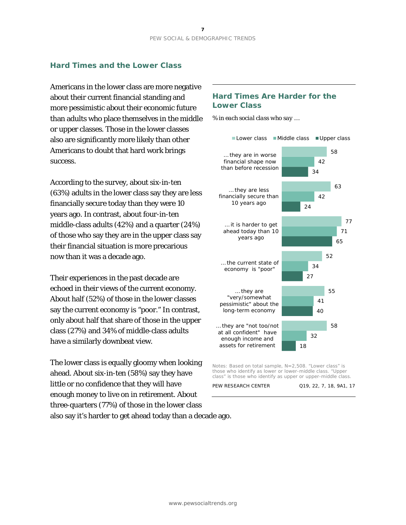#### **Hard Times and the Lower Class**

Americans in the lower class are more negative about their current financial standing and more pessimistic about their economic future than adults who place themselves in the middle or upper classes. Those in the lower classes also are significantly more likely than other Americans to doubt that hard work brings success.

According to the survey, about six-in-ten (63%) adults in the lower class say they are less financially secure today than they were 10 years ago. In contrast, about four-in-ten middle-class adults (42%) and a quarter (24%) of those who say they are in the upper class say their financial situation is more precarious now than it was a decade ago.

Their experiences in the past decade are echoed in their views of the current economy. About half (52%) of those in the lower classes say the current economy is "poor." In contrast, only about half that share of those in the upper class (27%) and 34% of middle-class adults have a similarly downbeat view.

The lower class is equally gloomy when looking ahead. About six-in-ten (58%) say they have little or no confidence that they will have enough money to live on in retirement. About three-quarters (77%) of those in the lower class also say it's harder to get ahead today than a decade ago.

#### **Hard Times Are Harder for the Lower Class**

*% in each social class who say …*



Notes: Based on total sample, N=2,508. "Lower class" is those who identify as lower or lower-middle class. "Upper class" is those who identify as upper or upper-middle class.

PEW RESEARCH CENTER Q19, 22, 7, 18, 9A1, 17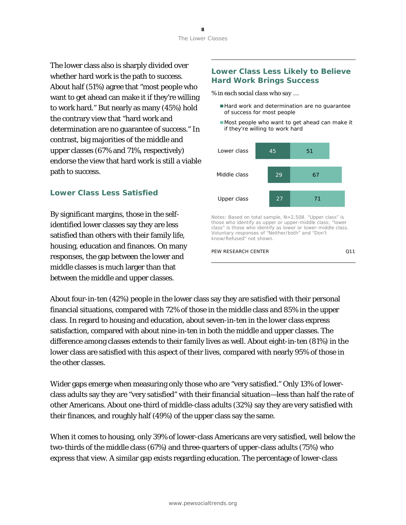The lower class also is sharply divided over whether hard work is the path to success. About half (51%) agree that "most people who want to get ahead can make it if they're willing to work hard." But nearly as many (45%) hold the contrary view that "hard work and determination are no guarantee of success." In contrast, big majorities of the middle and upper classes (67% and 71%, respectively) endorse the view that hard work is still a viable path to success.

## **Lower Class Less Satisfied**

By significant margins, those in the selfidentified lower classes say they are less satisfied than others with their family life, housing, education and finances. On many responses, the gap between the lower and middle classes is much larger than that between the middle and upper classes.

#### **Lower Class Less Likely to Believe Hard Work Brings Success**

*% in each social class who say …*

- Hard work and determination are no guarantee of success for most people
- Most people who want to get ahead can make it if they're willing to work hard



Notes: Based on total sample, N=2,508. "Upper class" is those who identify as upper or upper-middle class; "lower class" is those who identify as lower or lower-middle class. Voluntary responses of "Neither/both" and "Don't know/Refused" not shown.

#### PEW RESEARCH CENTER Q11

About four-in-ten (42%) people in the lower class say they are satisfied with their personal financial situations, compared with 72% of those in the middle class and 85% in the upper class. In regard to housing and education, about seven-in-ten in the lower class express satisfaction, compared with about nine-in-ten in both the middle and upper classes. The difference among classes extends to their family lives as well. About eight-in-ten (81%) in the lower class are satisfied with this aspect of their lives, compared with nearly 95% of those in the other classes.

Wider gaps emerge when measuring only those who are "very satisfied." Only 13% of lowerclass adults say they are "very satisfied" with their financial situation—less than half the rate of other Americans. About one-third of middle-class adults (32%) say they are very satisfied with their finances, and roughly half (49%) of the upper class say the same.

When it comes to housing, only 39% of lower-class Americans are very satisfied, well below the two-thirds of the middle class (67%) and three-quarters of upper-class adults (75%) who express that view. A similar gap exists regarding education. The percentage of lower-class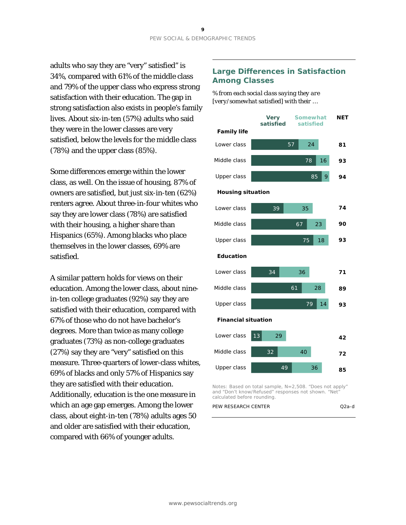adults who say they are "very" satisfied" is 34%, compared with 61% of the middle class and 79% of the upper class who express strong satisfaction with their education. The gap in strong satisfaction also exists in people's family lives. About six-in-ten (57%) adults who said they were in the lower classes are very satisfied, below the levels for the middle class (78%) and the upper class (85%).

Some differences emerge within the lower class, as well. On the issue of housing, 87% of owners are satisfied, but just six-in-ten (62%) renters agree. About three-in-four whites who say they are lower class (78%) are satisfied with their housing, a higher share than Hispanics (65%). Among blacks who place themselves in the lower classes, 69% are satisfied.

A similar pattern holds for views on their education. Among the lower class, about ninein-ten college graduates (92%) say they are satisfied with their education, compared with 67% of those who do not have bachelor's degrees. More than twice as many college graduates (73%) as non-college graduates (27%) say they are "very" satisfied on this measure. Three-quarters of lower-class whites, 69% of blacks and only 57% of Hispanics say they are satisfied with their education. Additionally, education is the one measure in which an age gap emerges. Among the lower class, about eight-in-ten (78%) adults ages 50 and older are satisfied with their education, compared with 66% of younger adults.

#### **Large Differences in Satisfaction Among Classes**

*% from each social class saying they are [very/somewhat satisfied] with their …*



Notes: Based on total sample, N=2,508. "Does not apply" and "Don't know/Refused" responses not shown. "Net" calculated before rounding.

| PEW RESEARCH CENTER | $Q2a-d$ |
|---------------------|---------|
|                     |         |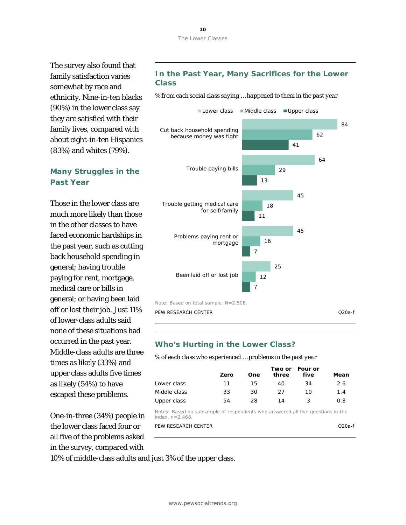The survey also found that family satisfaction varies somewhat by race and ethnicity. Nine-in-ten blacks (90%) in the lower class say they are satisfied with their family lives, compared with about eight-in-ten Hispanics (83%) and whites (79%).

## **Many Struggles in the Past Year**

Those in the lower class are much more likely than those in the other classes to have faced economic hardships in the past year, such as cutting back household spending in general; having trouble paying for rent, mortgage, medical care or bills in general; or having been laid off or lost their job. Just 11% of lower-class adults said none of these situations had occurred in the past year. Middle-class adults are three times as likely (33%) and upper class adults five times as likely (54%) to have escaped these problems.

One-in-three (34%) people in the lower class faced four or all five of the problems asked in the survey, compared with

#### **In the Past Year, Many Sacrifices for the Lower Class**

*% from each social class saying … happened to them in the past year*



#### **Who's Hurting in the Lower Class?**

*% of each class who experienced … problems in the past year*

|              | Zero | One | three | Two or Four or<br>five | Mean |
|--------------|------|-----|-------|------------------------|------|
| Lower class  | 11   | 15  | 40    | 34                     | 2.6  |
| Middle class | 33   | 30  | -27   | 10                     | 1.4  |
| Upper class  | 54   | 28  | 14    |                        | 0.8  |

Notes: Based on subsample of respondents who answered all five questions in the index,  $n=2.468$ .

| PEW RESEARCH CENTER | ี 220a-f |
|---------------------|----------|
|                     |          |

10% of middle-class adults and just 3% of the upper class.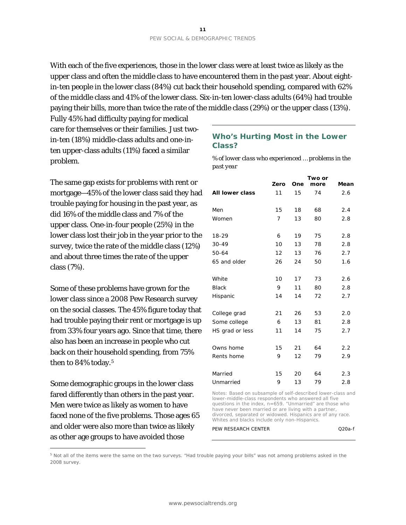With each of the five experiences, those in the lower class were at least twice as likely as the upper class and often the middle class to have encountered them in the past year. About eightin-ten people in the lower class (84%) cut back their household spending, compared with 62% of the middle class and 41% of the lower class. Six-in-ten lower-class adults (64%) had trouble paying their bills, more than twice the rate of the middle class (29%) or the upper class (13%).

Fully 45% had difficulty paying for medical care for themselves or their families. Just twoin-ten (18%) middle-class adults and one-inten upper-class adults (11%) faced a similar problem.

The same gap exists for problems with rent or mortgage—45% of the lower class said they had trouble paying for housing in the past year, as did 16% of the middle class and 7% of the upper class. One-in-four people (25%) in the lower class lost their job in the year prior to the survey, twice the rate of the middle class (12%) and about three times the rate of the upper class (7%).

Some of these problems have grown for the lower class since a 2008 Pew Research survey on the social classes. The 45% figure today that had trouble paying their rent or mortgage is up from 33% four years ago. Since that time, there also has been an increase in people who cut back on their household spending, from 75% then to 84% today.<sup>[5](#page-10-0)</sup>

Some demographic groups in the lower class fared differently than others in the past year. Men were twice as likely as women to have faced none of the five problems. Those ages 65 and older were also more than twice as likely as other age groups to have avoided those

 $\overline{a}$ 

#### **Who's Hurting Most in the Lower Class?**

*% of lower class who experienced … problems in the past year*

|                 | Zero | One | Two or<br>more | Mean |
|-----------------|------|-----|----------------|------|
| All lower class | 11   | 15  | 74             | 2.6  |
| Men             | 15   | 18  | 68             | 2.4  |
| Women           | 7    | 13  | 80             | 2.8  |
| 18-29           | 6    | 19  | 75             | 2.8  |
| $30 - 49$       | 10   | 13  | 78             | 2.8  |
| 50-64           | 12   | 13  | 76             | 2.7  |
| 65 and older    | 26   | 24  | 50             | 1.6  |
| White           | 10   | 17  | 73             | 2.6  |
| <b>Black</b>    | 9    | 11  | 80             | 2.8  |
| Hispanic        | 14   | 14  | 72             | 2.7  |
| College grad    | 21   | 26  | 53             | 2.0  |
| Some college    | 6    | 13  | 81             | 2.8  |
| HS grad or less | 11   | 14  | 75             | 2.7  |
| Owns home       | 15   | 21  | 64             | 2.2  |
| Rents home      | 9    | 12  | 79             | 2.9  |
| Married         | 15   | 20  | 64             | 2.3  |
| Unmarried       | 9    | 13  | 79             | 2.8  |

Notes: Based on subsample of self-described lower-class and lower-middle-class respondents who answered all five questions in the index, n=659. "Unmarried" are those who have never been married or are living with a partner, divorced, separated or widowed. Hispanics are of any race. Whites and blacks include only non-Hispanics.

PEW RESEARCH CENTER Q20a-f

<span id="page-10-0"></span><sup>5</sup> Not all of the items were the same on the two surveys. "Had trouble paying your bills" was not among problems asked in the 2008 survey.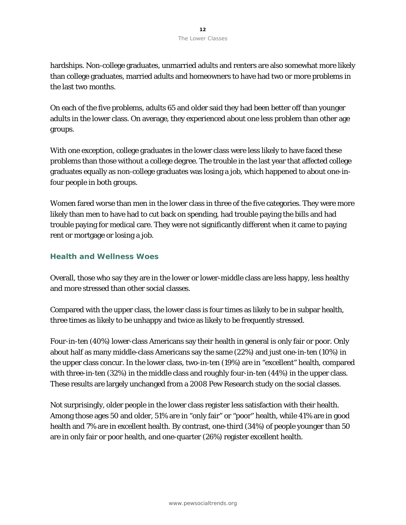hardships. Non-college graduates, unmarried adults and renters are also somewhat more likely than college graduates, married adults and homeowners to have had two or more problems in the last two months.

On each of the five problems, adults 65 and older said they had been better off than younger adults in the lower class. On average, they experienced about one less problem than other age groups.

With one exception, college graduates in the lower class were less likely to have faced these problems than those without a college degree. The trouble in the last year that affected college graduates equally as non-college graduates was losing a job, which happened to about one-infour people in both groups.

Women fared worse than men in the lower class in three of the five categories. They were more likely than men to have had to cut back on spending, had trouble paying the bills and had trouble paying for medical care. They were not significantly different when it came to paying rent or mortgage or losing a job.

### **Health and Wellness Woes**

Overall, those who say they are in the lower or lower-middle class are less happy, less healthy and more stressed than other social classes.

Compared with the upper class, the lower class is four times as likely to be in subpar health, three times as likely to be unhappy and twice as likely to be frequently stressed.

Four-in-ten (40%) lower-class Americans say their health in general is only fair or poor. Only about half as many middle-class Americans say the same (22%) and just one-in-ten (10%) in the upper class concur. In the lower class, two-in-ten (19%) are in "excellent" health, compared with three-in-ten (32%) in the middle class and roughly four-in-ten (44%) in the upper class. These results are largely unchanged from a 2008 Pew Research study on the social classes.

Not surprisingly, older people in the lower class register less satisfaction with their health. Among those ages 50 and older, 51% are in "only fair" or "poor" health, while 41% are in good health and 7% are in excellent health. By contrast, one-third (34%) of people younger than 50 are in only fair or poor health, and one-quarter (26%) register excellent health.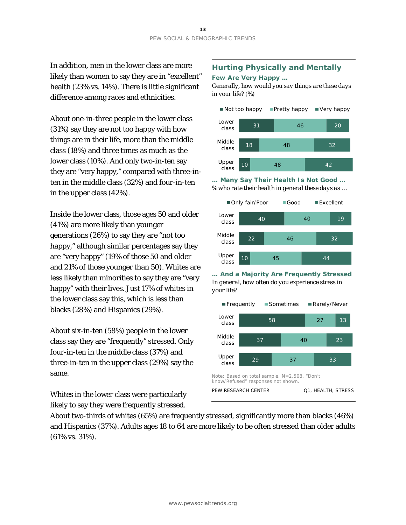In addition, men in the lower class are more likely than women to say they are in "excellent" health (23% vs. 14%). There is little significant difference among races and ethnicities.

About one-in-three people in the lower class (31%) say they are not too happy with how things are in their life, more than the middle class (18%) and three times as much as the lower class (10%). And only two-in-ten say they are "very happy," compared with three-inten in the middle class (32%) and four-in-ten in the upper class (42%).

Inside the lower class, those ages 50 and older (41%) are more likely than younger generations (26%) to say they are "not too happy," although similar percentages say they are "very happy" (19% of those 50 and older and 21% of those younger than 50). Whites are less likely than minorities to say they are "very happy" with their lives. Just 17% of whites in the lower class say this, which is less than blacks (28%) and Hispanics (29%).

About six-in-ten (58%) people in the lower class say they are "frequently" stressed. Only four-in-ten in the middle class (37%) and three-in-ten in the upper class (29%) say the same.

Whites in the lower class were particularly likely to say they were frequently stressed.

# **Hurting Physically and Mentally**

#### **Few Are Very Happy …**

*Generally, how would you say things are these days in your life? (%)*



**… Many Say Their Health Is Not Good …** *% who rate their health in general these days as …*



**… And a Majority Are Frequently Stressed** *In general, how often do you experience stress in your life?*



About two-thirds of whites (65%) are frequently stressed, significantly more than blacks (46%) and Hispanics (37%). Adults ages 18 to 64 are more likely to be often stressed than older adults (61% vs. 31%).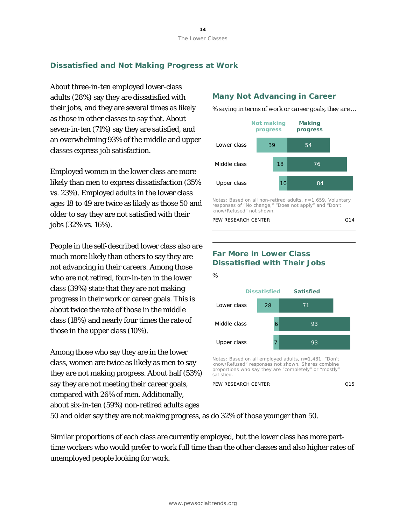## **Dissatisfied and Not Making Progress at Work**

About three-in-ten employed lower-class adults (28%) say they are dissatisfied with their jobs, and they are several times as likely as those in other classes to say that. About seven-in-ten (71%) say they are satisfied, and an overwhelming 93% of the middle and upper classes express job satisfaction.

Employed women in the lower class are more likely than men to express dissatisfaction (35% vs. 23%). Employed adults in the lower class ages 18 to 49 are twice as likely as those 50 and older to say they are not satisfied with their jobs (32% vs. 16%).

People in the self-described lower class also are much more likely than others to say they are not advancing in their careers. Among those who are not retired, four-in-ten in the lower class (39%) state that they are not making progress in their work or career goals. This is about twice the rate of those in the middle class (18%) and nearly four times the rate of those in the upper class (10%).

Among those who say they are in the lower class, women are twice as likely as men to say they are not making progress. About half (53%) say they are not meeting their career goals, compared with 26% of men. Additionally, about six-in-ten (59%) non-retired adults ages

#### **Many Not Advancing in Career**

*% saying in terms of work or career goals, they are …*



Notes: Based on all non-retired adults, n=1,659. Voluntary responses of "No change," "Does not apply" and "Don't know/Refused" not shown.

```
PEW RESEARCH CENTER Q14
```
# **Far More in Lower Class Dissatisfied with Their Jobs**



50 and older say they are not making progress, as do 32% of those younger than 50.

Similar proportions of each class are currently employed, but the lower class has more parttime workers who would prefer to work full time than the other classes and also higher rates of unemployed people looking for work.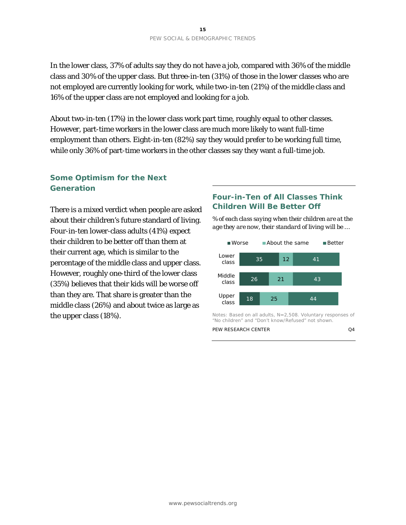In the lower class, 37% of adults say they do not have a job, compared with 36% of the middle class and 30% of the upper class. But three-in-ten (31%) of those in the lower classes who are not employed are currently looking for work, while two-in-ten (21%) of the middle class and 16% of the upper class are not employed and looking for a job.

About two-in-ten (17%) in the lower class work part time, roughly equal to other classes. However, part-time workers in the lower class are much more likely to want full-time employment than others. Eight-in-ten (82%) say they would prefer to be working full time, while only 36% of part-time workers in the other classes say they want a full-time job.

## **Some Optimism for the Next Generation**

There is a mixed verdict when people are asked about their children's future standard of living. Four-in-ten lower-class adults (41%) expect their children to be better off than them at their current age, which is similar to the percentage of the middle class and upper class. However, roughly one-third of the lower class (35%) believes that their kids will be worse off than they are. That share is greater than the middle class (26%) and about twice as large as the upper class (18%).

#### **Four-in-Ten of All Classes Think Children Will Be Better Off**

*% of each class saying when their children are at the age they are now, their standard of living will be …*



Notes: Based on all adults, N=2,508. Voluntary responses of "No children" and "Don't know/Refused" not shown.

PEW RESEARCH CENTER Q4